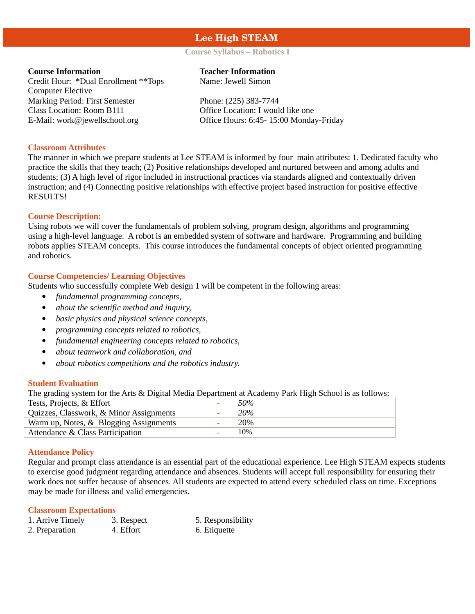# **Lee High STEAM**

# **Course Syllabus – Robotics I**

Credit Hour: \*Dual Enrollment \*\*Tops Computer Elective Marking Period: First Semester Phone: (225) 383-7744 Class Location: Room B111 Office Location: I would like one

# **Course Information Teacher Information**

Name: Jewell Simon

E-Mail: work@jewellschool.org Office Hours: 6:45- 15:00 Monday-Friday

#### **Classroom Attributes**

The manner in which we prepare students at Lee STEAM is informed by four main attributes: 1. Dedicated faculty who practice the skills that they teach; (2) Positive relationships developed and nurtured between and among adults and students; (3) A high level of rigor included in instructional practices via standards aligned and contextually driven instruction; and (4) Connecting positive relationships with effective project based instruction for positive effective RESULTS!

# **Course Description:**

Using robots we will cover the fundamentals of problem solving, program design, algorithms and programming using a high-level language. A robot is an embedded system of software and hardware. Programming and building robots applies STEAM concepts. This course introduces the fundamental concepts of object oriented programming and robotics.

# **Course Competencies/ Learning Objectives**

Students who successfully complete Web design 1 will be competent in the following areas:

- *fundamental programming concepts,*
- *about the scientific method and inquiry,*
- *basic physics and physical science concepts,*
- *programming concepts related to robotics,*
- *fundamental engineering concepts related to robotics,*
- *about teamwork and collaboration, and*
- *about robotics competitions and the robotics industry.*

# **Student Evaluation**

The grading system for the Arts & Digital Media Department at Academy Park High School is as follows:

| Tests, Projects, & Effort               | 50% |
|-----------------------------------------|-----|
| Quizzes, Classwork, & Minor Assignments | 20% |
| Warm up, Notes, & Blogging Assignments  | 20% |
| Attendance & Class Participation        | 10% |

#### **Attendance Policy**

Regular and prompt class attendance is an essential part of the educational experience. Lee High STEAM expects students to exercise good judgment regarding attendance and absences. Students will accept full responsibility for ensuring their work does not suffer because of absences. All students are expected to attend every scheduled class on time. Exceptions may be made for illness and valid emergencies.

#### **Classroom Expectations**

| 1. Arrive Timely | 3. Respect | 5. Responsibility |
|------------------|------------|-------------------|
| 2. Preparation   | 4. Effort  | 6. Etiquette      |